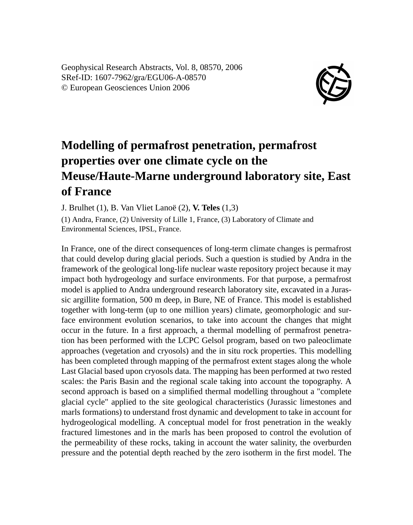Geophysical Research Abstracts, Vol. 8, 08570, 2006 SRef-ID: 1607-7962/gra/EGU06-A-08570 © European Geosciences Union 2006



## **Modelling of permafrost penetration, permafrost properties over one climate cycle on the Meuse/Haute-Marne underground laboratory site, East of France**

J. Brulhet (1), B. Van Vliet Lanoë (2), **V. Teles** (1,3)

(1) Andra, France, (2) University of Lille 1, France, (3) Laboratory of Climate and Environmental Sciences, IPSL, France.

In France, one of the direct consequences of long-term climate changes is permafrost that could develop during glacial periods. Such a question is studied by Andra in the framework of the geological long-life nuclear waste repository project because it may impact both hydrogeology and surface environments. For that purpose, a permafrost model is applied to Andra underground research laboratory site, excavated in a Jurassic argillite formation, 500 m deep, in Bure, NE of France. This model is established together with long-term (up to one million years) climate, geomorphologic and surface environment evolution scenarios, to take into account the changes that might occur in the future. In a first approach, a thermal modelling of permafrost penetration has been performed with the LCPC Gelsol program, based on two paleoclimate approaches (vegetation and cryosols) and the in situ rock properties. This modelling has been completed through mapping of the permafrost extent stages along the whole Last Glacial based upon cryosols data. The mapping has been performed at two rested scales: the Paris Basin and the regional scale taking into account the topography. A second approach is based on a simplified thermal modelling throughout a "complete glacial cycle" applied to the site geological characteristics (Jurassic limestones and marls formations) to understand frost dynamic and development to take in account for hydrogeological modelling. A conceptual model for frost penetration in the weakly fractured limestones and in the marls has been proposed to control the evolution of the permeability of these rocks, taking in account the water salinity, the overburden pressure and the potential depth reached by the zero isotherm in the first model. The